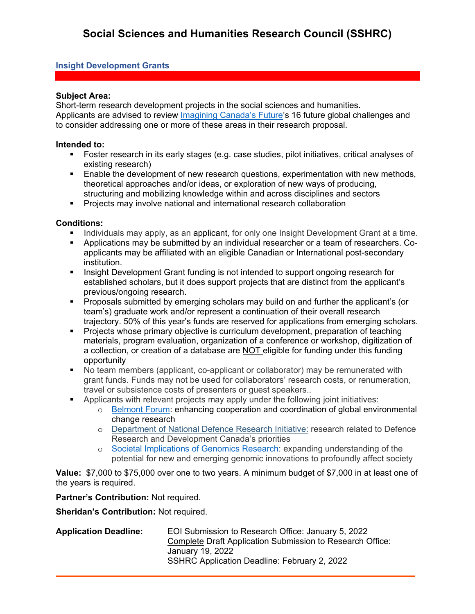# **Insight Development Grants**

## **Subject Area:**

Short-term research development projects in the social sciences and humanities. Applicants are advised to review *Imagining Canada's Future's* 16 future global challenges and to consider addressing one or more of these areas in their research proposal.

#### **Intended to:**

- Foster research in its early stages (e.g. case studies, pilot initiatives, critical analyses of existing research)
- **Enable the development of new research questions, experimentation with new methods,** theoretical approaches and/or ideas, or exploration of new ways of producing, structuring and mobilizing knowledge within and across disciplines and sectors
- **Projects may involve national and international research collaboration**

## **Conditions:**

- Individuals may apply, as an applicant, for only one Insight Development Grant at a time.
- Applications may be submitted by an individual researcher or a team of researchers. Coapplicants may be affiliated with an eligible Canadian or International post-secondary institution.
- Insight Development Grant funding is not intended to support ongoing research for established scholars, but it does support projects that are distinct from the applicant's previous/ongoing research.
- Proposals submitted by emerging scholars may build on and further the applicant's (or team's) graduate work and/or represent a continuation of their overall research trajectory. 50% of this year's funds are reserved for applications from emerging scholars.
- Projects whose primary objective is curriculum development, preparation of teaching materials, program evaluation, organization of a conference or workshop, digitization of a collection, or creation of a database are NOT eligible for funding under this funding opportunity
- No team members (applicant, co-applicant or collaborator) may be remunerated with grant funds. Funds may not be used for collaborators' research costs, or renumeration, travel or subsistence costs of presenters or guest speakers..
- Applicants with relevant projects may apply under the following joint initiatives:
	- o [Belmont Forum:](https://www.sshrc-crsh.gc.ca/about-au_sujet/partnerships-partenariats/belmont-eng.aspx) enhancing cooperation and coordination of global environmental change research
	- o [Department of National Defence Research Initiative:](https://www.sshrc-crsh.gc.ca/funding-financement/programs-programmes/dnd-eng.aspx) research related to Defence Research and Development Canada's priorities
	- o [Societal Implications of Genomics Research:](https://www.genomecanada.ca/en/programs/leading-edge-technologies/funding-opportunities/societal-implications-genomics-research) expanding understanding of the potential for new and emerging genomic innovations to profoundly affect society

**Value:** \$7,000 to \$75,000 over one to two years. A minimum budget of \$7,000 in at least one of the years is required.

## **Partner's Contribution:** Not required.

**Sheridan's Contribution:** Not required.

**Application Deadline:** EOI Submission to Research Office: January 5, 2022 Complete Draft Application Submission to Research Office: January 19, 2022 SSHRC Application Deadline: February 2, 2022